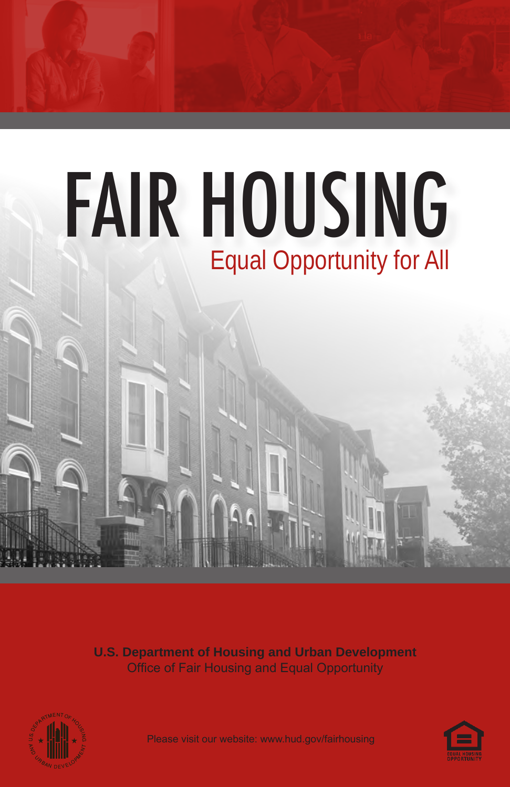

**U.S. Department of Housing and Urban Development** Office of Fair Housing and Equal Opportunity





Please visit our website: www.hud.gov/fairhousing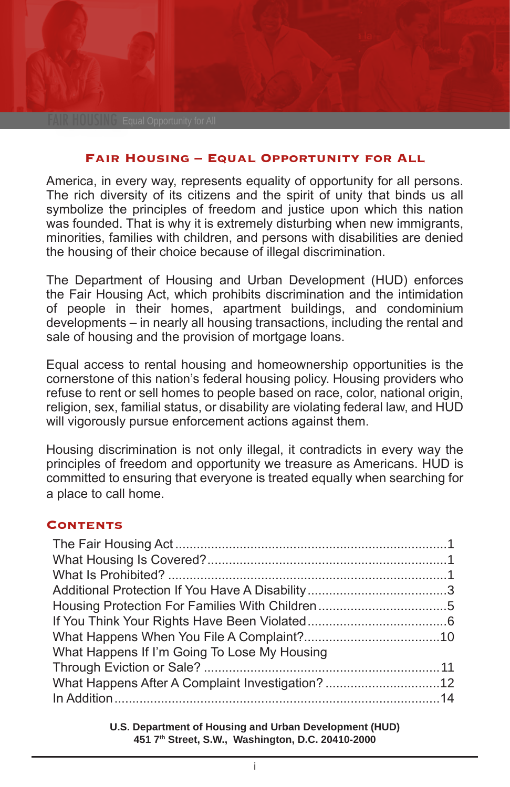### **Fair Housing – Equal Opportunity for All**

America, in every way, represents equality of opportunity for all persons. The rich diversity of its citizens and the spirit of unity that binds us all symbolize the principles of freedom and justice upon which this nation was founded. That is why it is extremely disturbing when new immigrants, minorities, families with children, and persons with disabilities are denied the housing of their choice because of illegal discrimination.

The Department of Housing and Urban Development (HUD) enforces the Fair Housing Act, which prohibits discrimination and the intimidation of people in their homes, apartment buildings, and condominium developments – in nearly all housing transactions, including the rental and sale of housing and the provision of mortgage loans.

Equal access to rental housing and homeownership opportunities is the cornerstone of this nation's federal housing policy. Housing providers who refuse to rent or sell homes to people based on race, color, national origin, religion, sex, familial status, or disability are violating federal law, and HUD will vigorously pursue enforcement actions against them.

Housing discrimination is not only illegal, it contradicts in every way the principles of freedom and opportunity we treasure as Americans. HUD is committed to ensuring that everyone is treated equally when searching for a place to call home.

## **CONTENTS**

| What Happens If I'm Going To Lose My Housing |  |
|----------------------------------------------|--|
|                                              |  |
|                                              |  |
|                                              |  |

**U.S. Department of Housing and Urban Development (HUD) 451 7th Street, S.W., Washington, D.C. 20410-2000**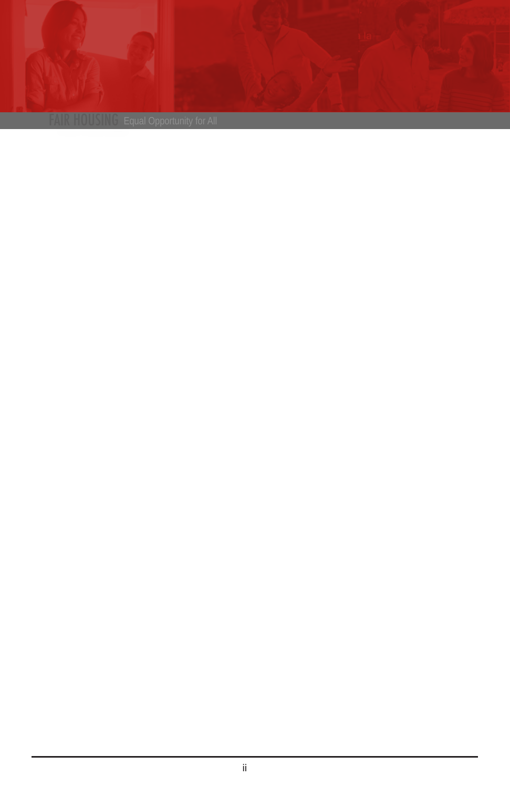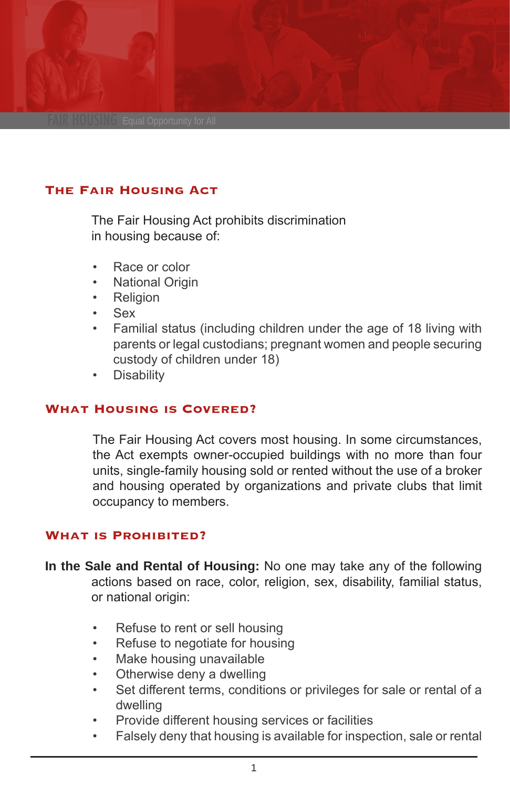

# **The Fair Housing Act**

The Fair Housing Act prohibits discrimination in housing because of:

- Race or color
- **National Origin**
- Religion
- Sex
- Familial status (including children under the age of 18 living with parents or legal custodians; pregnant women and people securing custody of children under 18)
- **Disability**

### **What Housing is Covered?**

The Fair Housing Act covers most housing. In some circumstances, the Act exempts owner-occupied buildings with no more than four units, single-family housing sold or rented without the use of a broker and housing operated by organizations and private clubs that limit occupancy to members.

#### **What is Prohibited?**

- **In the Sale and Rental of Housing:** No one may take any of the following actions based on race, color, religion, sex, disability, familial status, or national origin:
	- Refuse to rent or sell housing
	- Refuse to negotiate for housing
	- Make housing unavailable
	- Otherwise deny a dwelling
	- Set different terms, conditions or privileges for sale or rental of a dwelling
	- Provide different housing services or facilities
	- Falsely deny that housing is available for inspection, sale or rental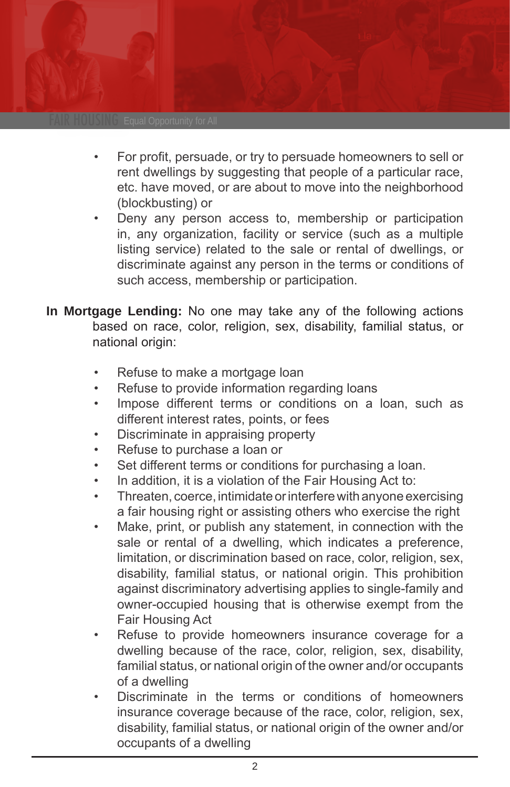

- For profit, persuade, or try to persuade homeowners to sell or rent dwellings by suggesting that people of a particular race, etc. have moved, or are about to move into the neighborhood (blockbusting) or
- Deny any person access to, membership or participation in, any organization, facility or service (such as a multiple listing service) related to the sale or rental of dwellings, or discriminate against any person in the terms or conditions of such access, membership or participation.
- **In Mortgage Lending:** No one may take any of the following actions based on race, color, religion, sex, disability, familial status, or national origin:
	- Refuse to make a mortgage loan
	- Refuse to provide information regarding loans
	- Impose different terms or conditions on a loan, such as different interest rates, points, or fees
	- Discriminate in appraising property
	- Refuse to purchase a loan or
	- Set different terms or conditions for purchasing a loan.
	- In addition, it is a violation of the Fair Housing Act to:
	- Threaten, coerce, intimidate or interfere with anyone exercising a fair housing right or assisting others who exercise the right
	- Make, print, or publish any statement, in connection with the sale or rental of a dwelling, which indicates a preference, limitation, or discrimination based on race, color, religion, sex, disability, familial status, or national origin. This prohibition against discriminatory advertising applies to single-family and owner-occupied housing that is otherwise exempt from the Fair Housing Act
	- Refuse to provide homeowners insurance coverage for a dwelling because of the race, color, religion, sex, disability, familial status, or national origin of the owner and/or occupants of a dwelling
	- Discriminate in the terms or conditions of homeowners insurance coverage because of the race, color, religion, sex, disability, familial status, or national origin of the owner and/or occupants of a dwelling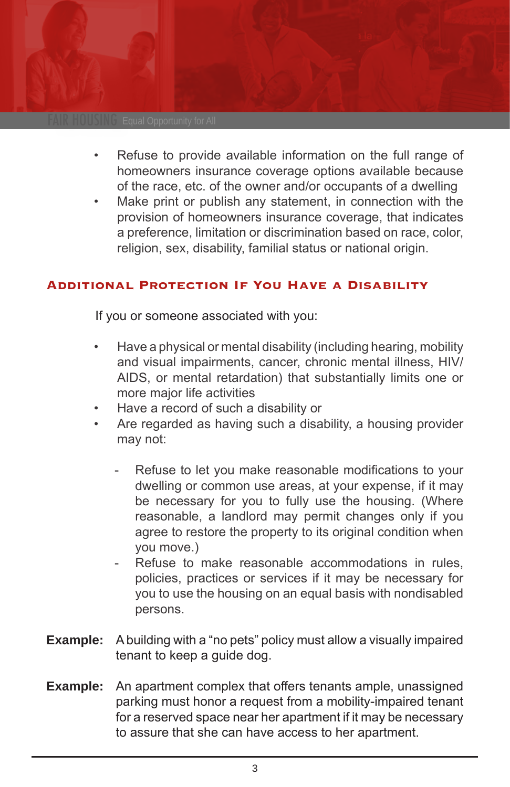

- Refuse to provide available information on the full range of homeowners insurance coverage options available because of the race, etc. of the owner and/or occupants of a dwelling
- Make print or publish any statement, in connection with the provision of homeowners insurance coverage, that indicates a preference, limitation or discrimination based on race, color, religion, sex, disability, familial status or national origin.

### **Additional Protection If You Have a Disability**

If you or someone associated with you:

- Have a physical or mental disability (including hearing, mobility and visual impairments, cancer, chronic mental illness, HIV/ AIDS, or mental retardation) that substantially limits one or more major life activities
- Have a record of such a disability or
- Are regarded as having such a disability, a housing provider may not:
	- Refuse to let you make reasonable modifications to your dwelling or common use areas, at your expense, if it may be necessary for you to fully use the housing. (Where reasonable, a landlord may permit changes only if you agree to restore the property to its original condition when you move.)
	- Refuse to make reasonable accommodations in rules, policies, practices or services if it may be necessary for you to use the housing on an equal basis with nondisabled persons.
- **Example:** A building with a "no pets" policy must allow a visually impaired tenant to keep a guide dog.
- **Example:** An apartment complex that offers tenants ample, unassigned parking must honor a request from a mobility-impaired tenant for a reserved space near her apartment if it may be necessary to assure that she can have access to her apartment.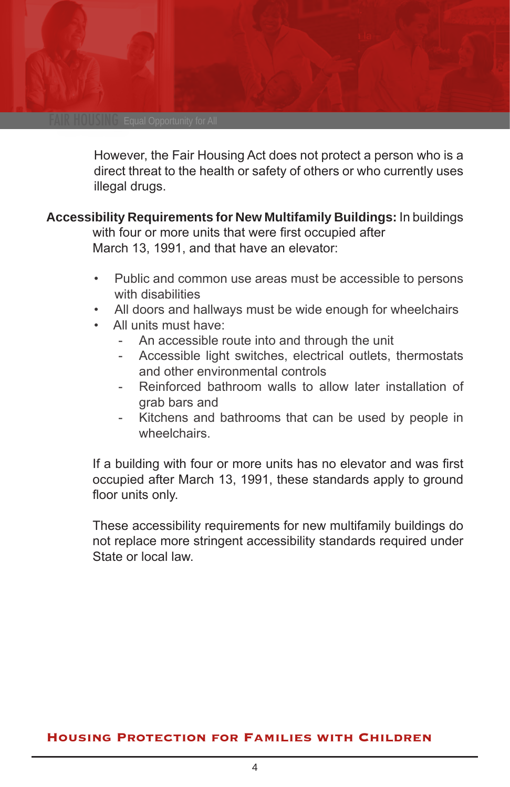

However, the Fair Housing Act does not protect a person who is a direct threat to the health or safety of others or who currently uses illegal drugs.

**Accessibility Requirements for New Multifamily Buildings:** In buildings

with four or more units that were first occupied after March 13, 1991, and that have an elevator:

- Public and common use areas must be accessible to persons with disabilities
- All doors and hallways must be wide enough for wheelchairs
- All units must have:
	- An accessible route into and through the unit
	- Accessible light switches, electrical outlets, thermostats and other environmental controls
	- Reinforced bathroom walls to allow later installation of grab bars and
	- Kitchens and bathrooms that can be used by people in wheelchairs.

If a building with four or more units has no elevator and was first occupied after March 13, 1991, these standards apply to ground floor units only.

These accessibility requirements for new multifamily buildings do not replace more stringent accessibility standards required under State or local law.

#### **Housing Protection for Families with Children**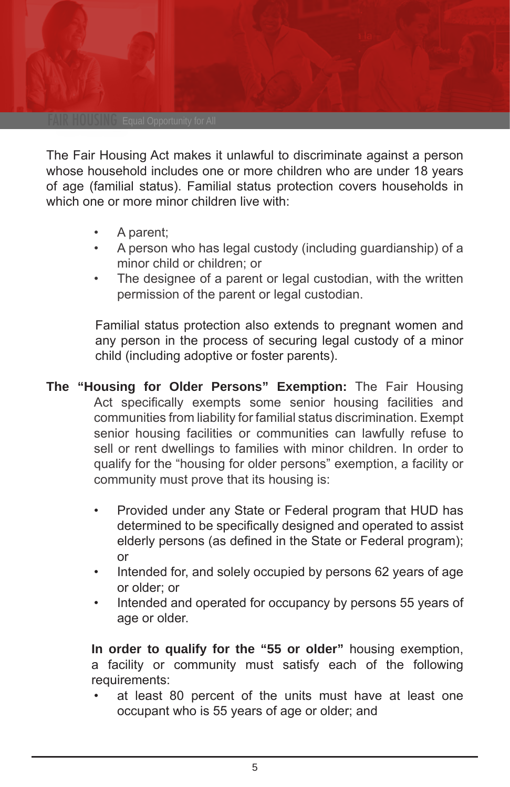

The Fair Housing Act makes it unlawful to discriminate against a person whose household includes one or more children who are under 18 years of age (familial status). Familial status protection covers households in which one or more minor children live with:

- A parent;
- A person who has legal custody (including guardianship) of a minor child or children; or
- The designee of a parent or legal custodian, with the written permission of the parent or legal custodian.

Familial status protection also extends to pregnant women and any person in the process of securing legal custody of a minor child (including adoptive or foster parents).

- **The "Housing for Older Persons" Exemption:** The Fair Housing Act specifically exempts some senior housing facilities and communities from liability for familial status discrimination. Exempt senior housing facilities or communities can lawfully refuse to sell or rent dwellings to families with minor children. In order to qualify for the "housing for older persons" exemption, a facility or community must prove that its housing is:
	- Provided under any State or Federal program that HUD has determined to be specifically designed and operated to assist elderly persons (as defined in the State or Federal program); or
	- Intended for, and solely occupied by persons 62 years of age or older; or
	- Intended and operated for occupancy by persons 55 years of age or older.

**In order to qualify for the "55 or older"** housing exemption, a facility or community must satisfy each of the following requirements:

• at least 80 percent of the units must have at least one occupant who is 55 years of age or older; and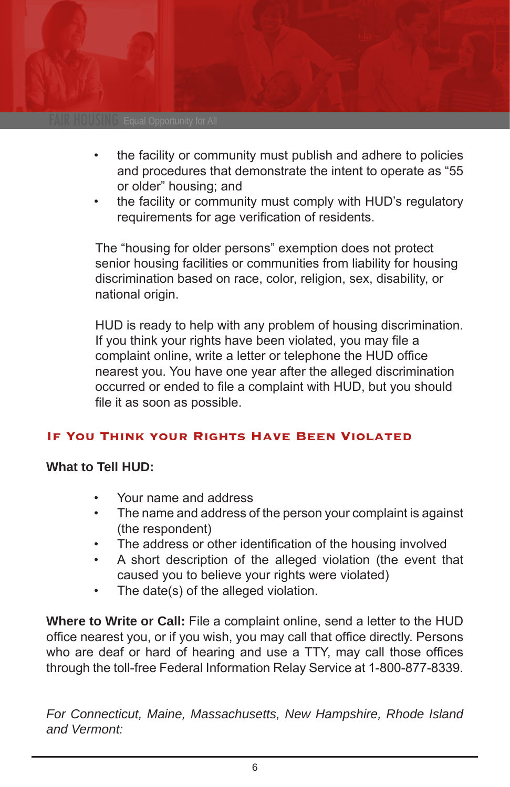

- - the facility or community must publish and adhere to policies and procedures that demonstrate the intent to operate as "55 or older" housing; and
	- the facility or community must comply with HUD's regulatory requirements for age verification of residents.

The "housing for older persons" exemption does not protect senior housing facilities or communities from liability for housing discrimination based on race, color, religion, sex, disability, or national origin.

HUD is ready to help with any problem of housing discrimination. If you think your rights have been violated, you may file a complaint online, write a letter or telephone the HUD office nearest you. You have one year after the alleged discrimination occurred or ended to file a complaint with HUD, but you should file it as soon as possible.

# **If You Think your Rights Have Been Violated**

# **What to Tell HUD:**

- Your name and address
- The name and address of the person your complaint is against (the respondent)
- The address or other identification of the housing involved
- A short description of the alleged violation (the event that caused you to believe your rights were violated)
- The date(s) of the alleged violation.

**Where to Write or Call:** File a complaint online, send a letter to the HUD office nearest you, or if you wish, you may call that office directly. Persons who are deaf or hard of hearing and use a TTY, may call those offices through the toll-free Federal Information Relay Service at 1-800-877-8339.

*For Connecticut, Maine, Massachusetts, New Hampshire, Rhode Island and Vermont:*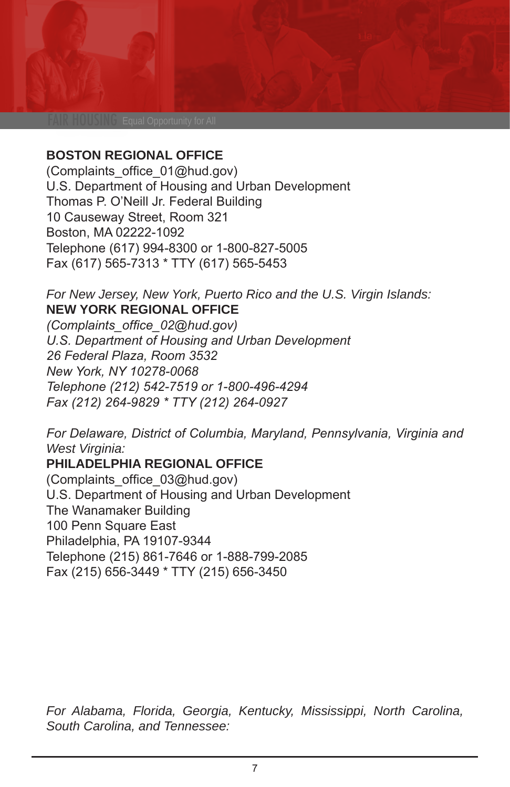

# **BOSTON REGIONAL OFFICE**

(Complaints\_office\_01@hud.gov) U.S. Department of Housing and Urban Development Thomas P. O'Neill Jr. Federal Building 10 Causeway Street, Room 321 Boston, MA 02222-1092 Telephone (617) 994-8300 or 1-800-827-5005 Fax (617) 565-7313 \* TTY (617) 565-5453

*For New Jersey, New York, Puerto Rico and the U.S. Virgin Islands:* **NEW YORK REGIONAL OFFICE** *(Complaints\_office\_02@hud.gov) U.S. Department of Housing and Urban Development 26 Federal Plaza, Room 3532 New York, NY 10278-0068 Telephone (212) 542-7519 or 1-800-496-4294 Fax (212) 264-9829 \* TTY (212) 264-0927*

*For Delaware, District of Columbia, Maryland, Pennsylvania, Virginia and West Virginia:* **PHILADELPHIA REGIONAL OFFICE** (Complaints\_office\_03@hud.gov) U.S. Department of Housing and Urban Development The Wanamaker Building

100 Penn Square East Philadelphia, PA 19107-9344 Telephone (215) 861-7646 or 1-888-799-2085 Fax (215) 656-3449 \* TTY (215) 656-3450

*For Alabama, Florida, Georgia, Kentucky, Mississippi, North Carolina, South Carolina, and Tennessee:*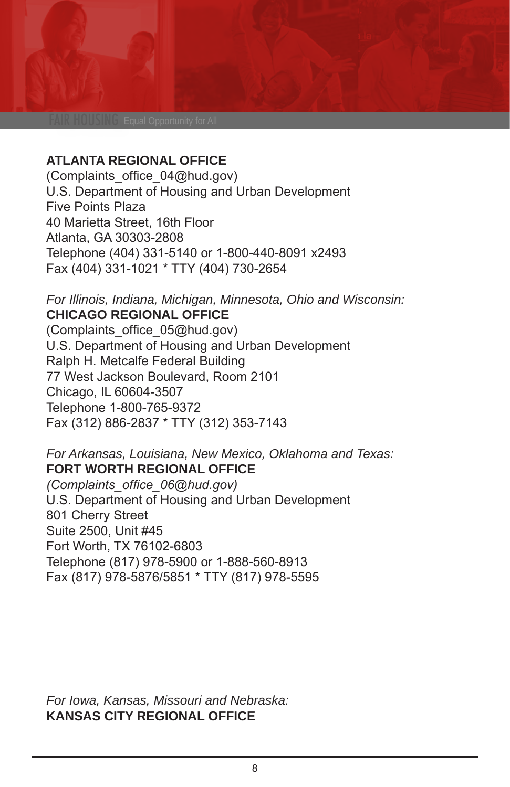

# **ATLANTA REGIONAL OFFICE**

(Complaints\_office\_04@hud.gov) U.S. Department of Housing and Urban Development Five Points Plaza 40 Marietta Street, 16th Floor Atlanta, GA 30303-2808 Telephone (404) 331-5140 or 1-800-440-8091 x2493 Fax (404) 331-1021 \* TTY (404) 730-2654

*For Illinois, Indiana, Michigan, Minnesota, Ohio and Wisconsin:* **CHICAGO REGIONAL OFFICE**

(Complaints\_office\_05@hud.gov) U.S. Department of Housing and Urban Development Ralph H. Metcalfe Federal Building 77 West Jackson Boulevard, Room 2101 Chicago, IL 60604-3507 Telephone 1-800-765-9372 Fax (312) 886-2837 \* TTY (312) 353-7143

*For Arkansas, Louisiana, New Mexico, Oklahoma and Texas:* **FORT WORTH REGIONAL OFFICE** *(Complaints\_office\_06@hud.gov)* U.S. Department of Housing and Urban Development 801 Cherry Street Suite 2500, Unit #45 Fort Worth, TX 76102-6803 Telephone (817) 978-5900 or 1-888-560-8913 Fax (817) 978-5876/5851 \* TTY (817) 978-5595

*For Iowa, Kansas, Missouri and Nebraska:* **KANSAS CITY REGIONAL OFFICE**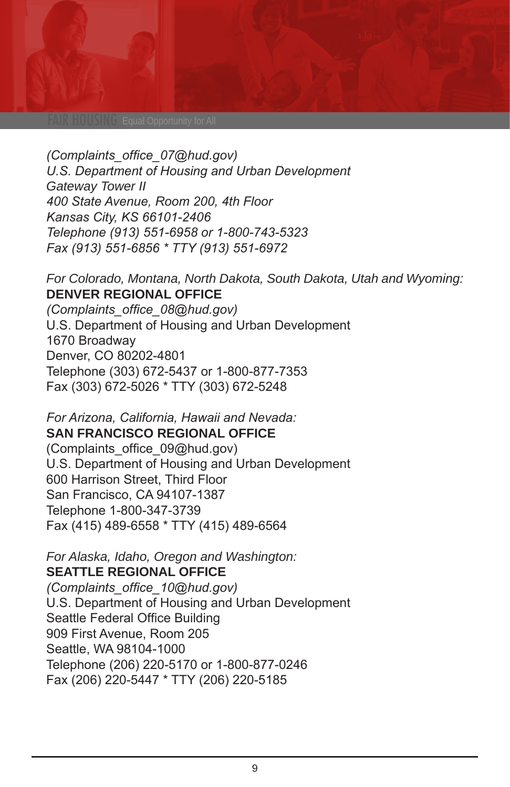

*(Complaints\_office\_07@hud.gov) U.S. Department of Housing and Urban Development Gateway Tower II 400 State Avenue, Room 200, 4th Floor Kansas City, KS 66101-2406 Telephone (913) 551-6958 or 1-800-743-5323 Fax (913) 551-6856 \* TTY (913) 551-6972*

*For Colorado, Montana, North Dakota, South Dakota, Utah and Wyoming:* **DENVER REGIONAL OFFICE** *(Complaints\_office\_08@hud.gov)*

U.S. Department of Housing and Urban Development 1670 Broadway Denver, CO 80202-4801 Telephone (303) 672-5437 or 1-800-877-7353 Fax (303) 672-5026 \* TTY (303) 672-5248

*For Arizona, California, Hawaii and Nevada:* **SAN FRANCISCO REGIONAL OFFICE**

(Complaints\_office\_09@hud.gov) U.S. Department of Housing and Urban Development 600 Harrison Street, Third Floor San Francisco, CA 94107-1387 Telephone 1-800-347-3739 Fax (415) 489-6558 \* TTY (415) 489-6564

*For Alaska, Idaho, Oregon and Washington:* **SEATTLE REGIONAL OFFICE** *(Complaints\_office\_10@hud.gov)* U.S. Department of Housing and Urban Development Seattle Federal Office Building 909 First Avenue, Room 205 Seattle, WA 98104-1000 Telephone (206) 220-5170 or 1-800-877-0246 Fax (206) 220-5447 \* TTY (206) 220-5185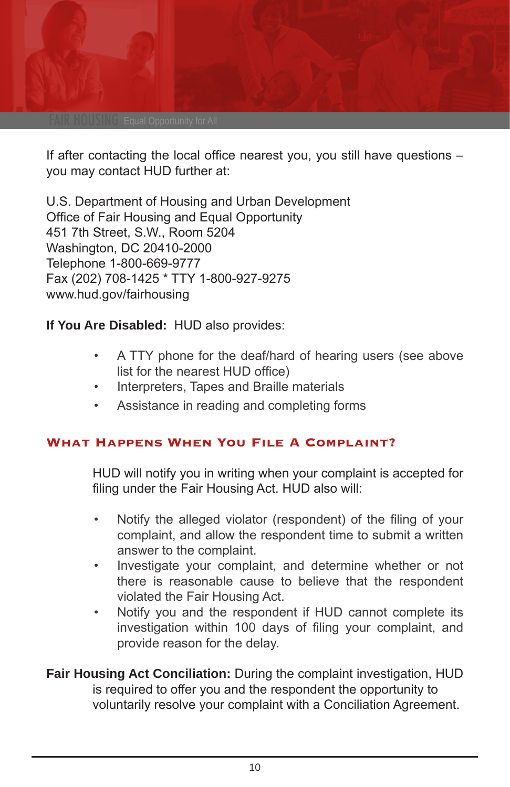

If after contacting the local office nearest you, you still have questions – you may contact HUD further at:

U.S. Department of Housing and Urban Development Office of Fair Housing and Equal Opportunity 451 7th Street, S.W., Room 5204 Washington, DC 20410-2000 Telephone 1-800-669-9777 Fax (202) 708-1425 \* TTY 1-800-927-9275 www.hud.gov/fairhousing

# **If You Are Disabled:** HUD also provides:

- A TTY phone for the deaf/hard of hearing users (see above list for the nearest HUD office)
- Interpreters, Tapes and Braille materials
- Assistance in reading and completing forms

# **What Happens When You File A Complaint?**

HUD will notify you in writing when your complaint is accepted for filing under the Fair Housing Act. HUD also will:

- Notify the alleged violator (respondent) of the filing of your complaint, and allow the respondent time to submit a written answer to the complaint.
- Investigate your complaint, and determine whether or not there is reasonable cause to believe that the respondent violated the Fair Housing Act.
- Notify you and the respondent if HUD cannot complete its investigation within 100 days of filing your complaint, and provide reason for the delay.
- **Fair Housing Act Conciliation:** During the complaint investigation, HUD is required to offer you and the respondent the opportunity to voluntarily resolve your complaint with a Conciliation Agreement.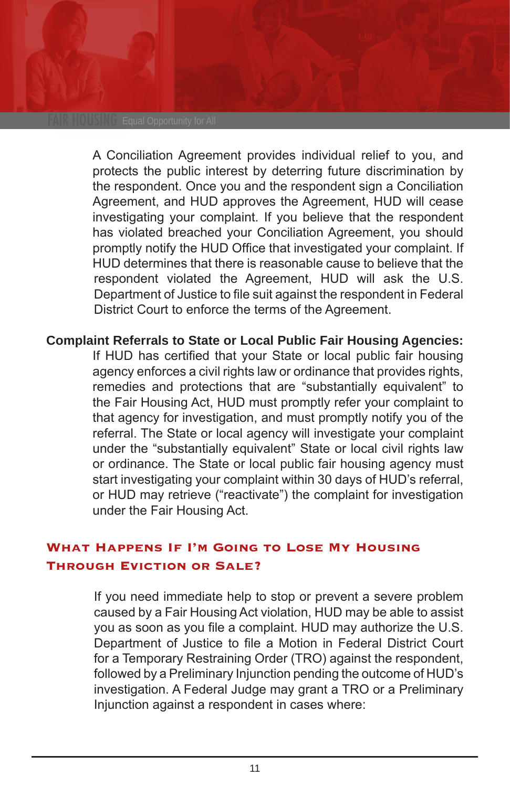A Conciliation Agreement provides individual relief to you, and protects the public interest by deterring future discrimination by the respondent. Once you and the respondent sign a Conciliation Agreement, and HUD approves the Agreement, HUD will cease investigating your complaint. If you believe that the respondent has violated breached your Conciliation Agreement, you should promptly notify the HUD Office that investigated your complaint. If HUD determines that there is reasonable cause to believe that the respondent violated the Agreement, HUD will ask the U.S. Department of Justice to file suit against the respondent in Federal District Court to enforce the terms of the Agreement.

**Complaint Referrals to State or Local Public Fair Housing Agencies:**

If HUD has certified that your State or local public fair housing agency enforces a civil rights law or ordinance that provides rights, remedies and protections that are "substantially equivalent" to the Fair Housing Act, HUD must promptly refer your complaint to that agency for investigation, and must promptly notify you of the referral. The State or local agency will investigate your complaint under the "substantially equivalent" State or local civil rights law or ordinance. The State or local public fair housing agency must start investigating your complaint within 30 days of HUD's referral, or HUD may retrieve ("reactivate") the complaint for investigation under the Fair Housing Act.

# **What Happens If I'm Going to Lose My Housing Through Eviction or Sale?**

If you need immediate help to stop or prevent a severe problem caused by a Fair Housing Act violation, HUD may be able to assist you as soon as you file a complaint. HUD may authorize the U.S. Department of Justice to file a Motion in Federal District Court for a Temporary Restraining Order (TRO) against the respondent, followed by a Preliminary Injunction pending the outcome of HUD's investigation. A Federal Judge may grant a TRO or a Preliminary Injunction against a respondent in cases where: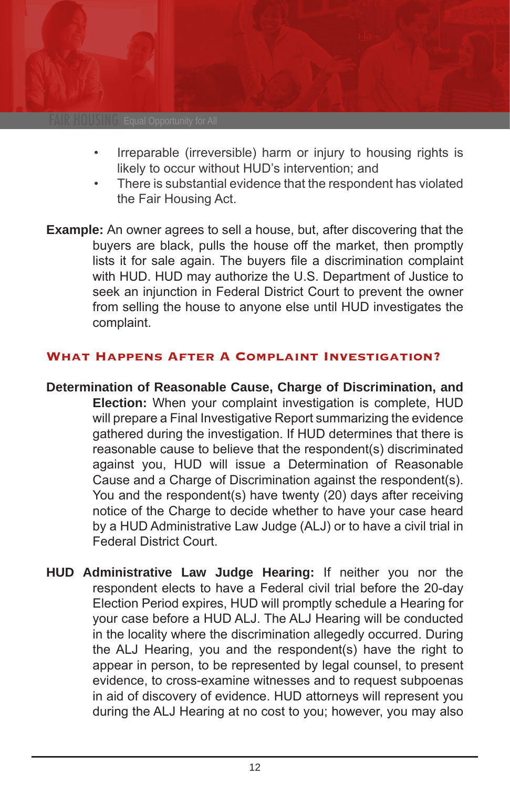

- Irreparable (irreversible) harm or injury to housing rights is likely to occur without HUD's intervention; and
	- There is substantial evidence that the respondent has violated the Fair Housing Act.
- **Example:** An owner agrees to sell a house, but, after discovering that the buyers are black, pulls the house off the market, then promptly lists it for sale again. The buyers file a discrimination complaint with HUD. HUD may authorize the U.S. Department of Justice to seek an injunction in Federal District Court to prevent the owner from selling the house to anyone else until HUD investigates the complaint.

# **What Happens After A Complaint Investigation?**

- **Determination of Reasonable Cause, Charge of Discrimination, and Election:** When your complaint investigation is complete, HUD will prepare a Final Investigative Report summarizing the evidence gathered during the investigation. If HUD determines that there is reasonable cause to believe that the respondent(s) discriminated against you, HUD will issue a Determination of Reasonable Cause and a Charge of Discrimination against the respondent(s). You and the respondent(s) have twenty (20) days after receiving notice of the Charge to decide whether to have your case heard by a HUD Administrative Law Judge (ALJ) or to have a civil trial in Federal District Court.
- **HUD Administrative Law Judge Hearing:** If neither you nor the respondent elects to have a Federal civil trial before the 20-day Election Period expires, HUD will promptly schedule a Hearing for your case before a HUD ALJ. The ALJ Hearing will be conducted in the locality where the discrimination allegedly occurred. During the ALJ Hearing, you and the respondent(s) have the right to appear in person, to be represented by legal counsel, to present evidence, to cross-examine witnesses and to request subpoenas in aid of discovery of evidence. HUD attorneys will represent you during the ALJ Hearing at no cost to you; however, you may also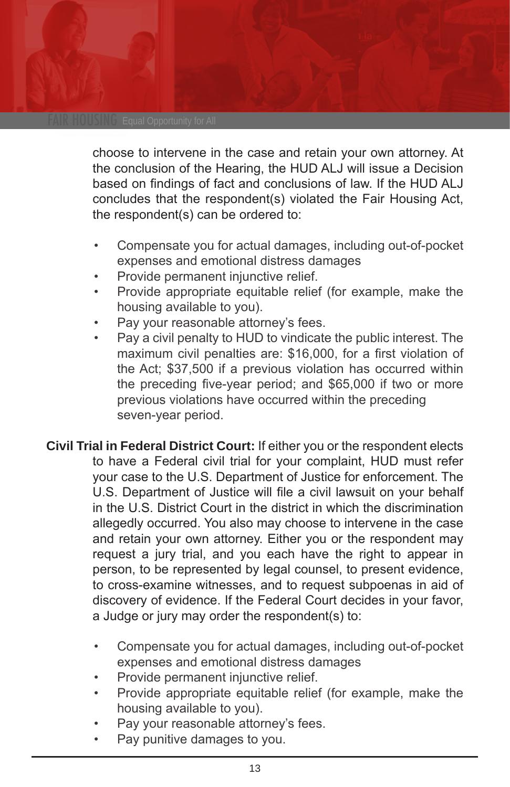

choose to intervene in the case and retain your own attorney. At the conclusion of the Hearing, the HUD ALJ will issue a Decision based on findings of fact and conclusions of law. If the HUD ALJ concludes that the respondent(s) violated the Fair Housing Act, the respondent(s) can be ordered to:

- Compensate you for actual damages, including out-of-pocket expenses and emotional distress damages
- Provide permanent injunctive relief.
- Provide appropriate equitable relief (for example, make the housing available to you).
- Pay your reasonable attorney's fees.
- Pay a civil penalty to HUD to vindicate the public interest. The maximum civil penalties are: \$16,000, for a first violation of the Act; \$37,500 if a previous violation has occurred within the preceding five-year period; and \$65,000 if two or more previous violations have occurred within the preceding seven-year period.
- **Civil Trial in Federal District Court:** If either you or the respondent elects to have a Federal civil trial for your complaint, HUD must refer your case to the U.S. Department of Justice for enforcement. The U.S. Department of Justice will file a civil lawsuit on your behalf in the U.S. District Court in the district in which the discrimination allegedly occurred. You also may choose to intervene in the case and retain your own attorney. Either you or the respondent may request a jury trial, and you each have the right to appear in person, to be represented by legal counsel, to present evidence, to cross-examine witnesses, and to request subpoenas in aid of discovery of evidence. If the Federal Court decides in your favor, a Judge or jury may order the respondent(s) to:
	- Compensate you for actual damages, including out-of-pocket expenses and emotional distress damages
	- Provide permanent injunctive relief.
	- Provide appropriate equitable relief (for example, make the housing available to you).
	- Pay your reasonable attorney's fees.
	- Pay punitive damages to you.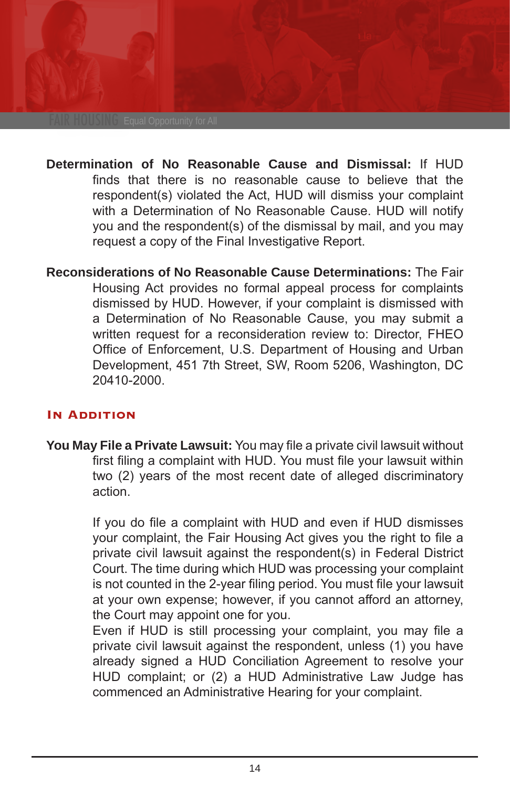- **Determination of No Reasonable Cause and Dismissal:** If HUD finds that there is no reasonable cause to believe that the respondent(s) violated the Act, HUD will dismiss your complaint with a Determination of No Reasonable Cause. HUD will notify you and the respondent(s) of the dismissal by mail, and you may request a copy of the Final Investigative Report.
- **Reconsiderations of No Reasonable Cause Determinations:** The Fair Housing Act provides no formal appeal process for complaints dismissed by HUD. However, if your complaint is dismissed with a Determination of No Reasonable Cause, you may submit a written request for a reconsideration review to: Director, FHEO Office of Enforcement, U.S. Department of Housing and Urban Development, 451 7th Street, SW, Room 5206, Washington, DC 20410-2000.

### **In Addition**

**You May File a Private Lawsuit:** You may file a private civil lawsuit without first filing a complaint with HUD. You must file your lawsuit within two (2) years of the most recent date of alleged discriminatory action.

> If you do file a complaint with HUD and even if HUD dismisses your complaint, the Fair Housing Act gives you the right to file a private civil lawsuit against the respondent(s) in Federal District Court. The time during which HUD was processing your complaint is not counted in the 2-year filing period. You must file your lawsuit at your own expense; however, if you cannot afford an attorney, the Court may appoint one for you.

> Even if HUD is still processing your complaint, you may file a private civil lawsuit against the respondent, unless (1) you have already signed a HUD Conciliation Agreement to resolve your HUD complaint; or (2) a HUD Administrative Law Judge has commenced an Administrative Hearing for your complaint.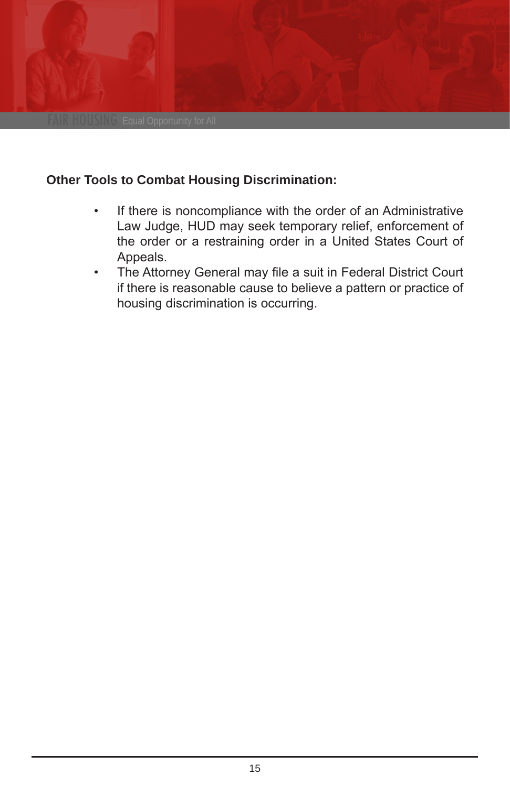

# **Other Tools to Combat Housing Discrimination:**

- If there is noncompliance with the order of an Administrative Law Judge, HUD may seek temporary relief, enforcement of the order or a restraining order in a United States Court of Appeals.
- The Attorney General may file a suit in Federal District Court if there is reasonable cause to believe a pattern or practice of housing discrimination is occurring.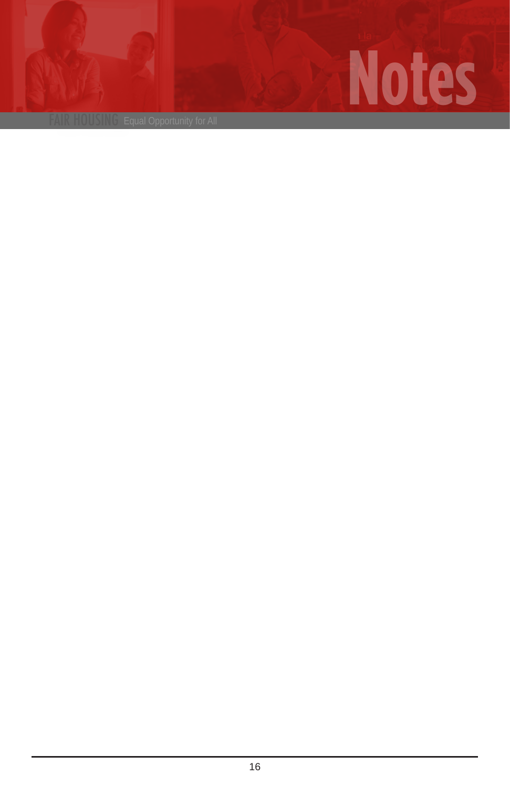

# **Notes**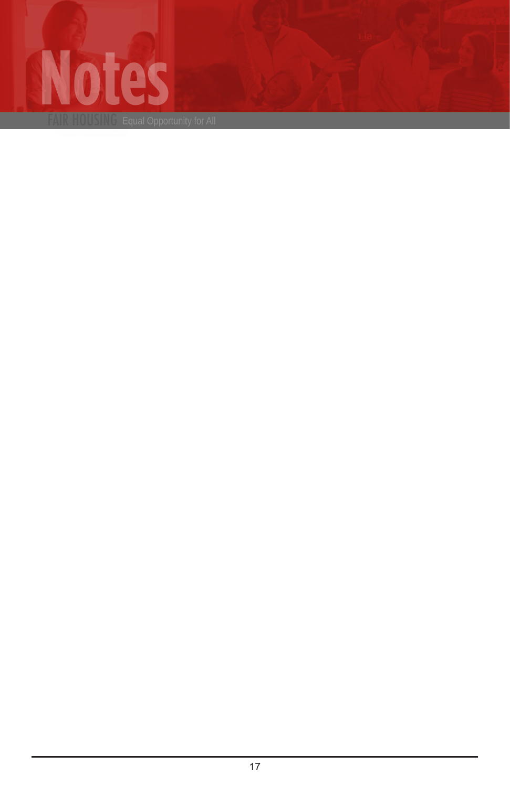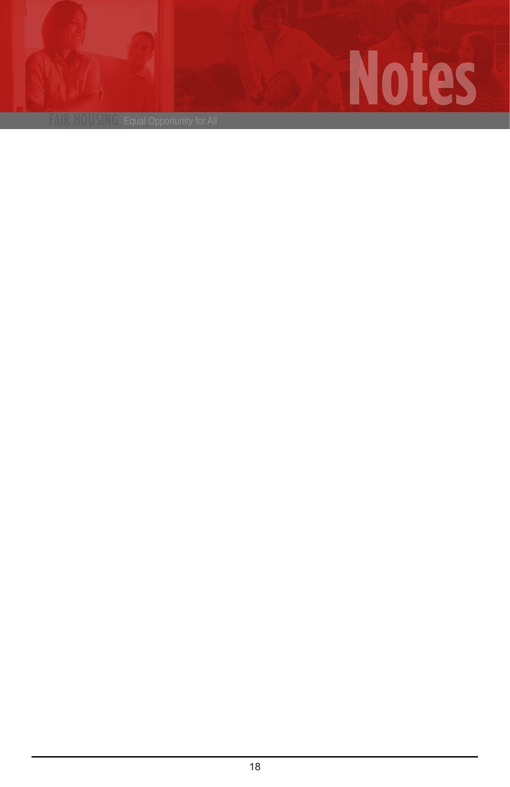

# **Notes**